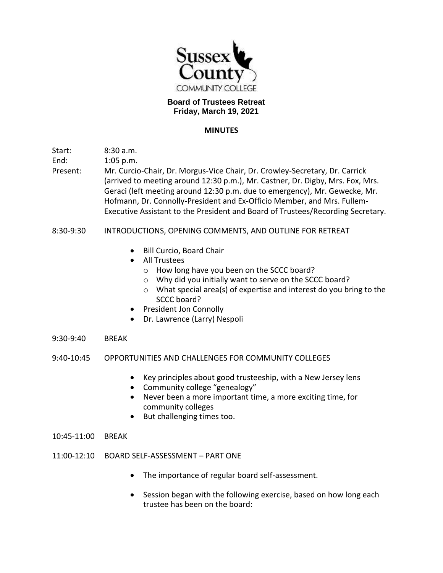

## **Board of Trustees Retreat Friday, March 19, 2021**

## **MINUTES**

Start: 8:30 a.m.

End: 1:05 p.m.

Present: Mr. Curcio-Chair, Dr. Morgus-Vice Chair, Dr. Crowley-Secretary, Dr. Carrick (arrived to meeting around 12:30 p.m.), Mr. Castner, Dr. Digby, Mrs. Fox, Mrs. Geraci (left meeting around 12:30 p.m. due to emergency), Mr. Gewecke, Mr. Hofmann, Dr. Connolly-President and Ex-Officio Member, and Mrs. Fullem-Executive Assistant to the President and Board of Trustees/Recording Secretary.

## 8:30-9:30 INTRODUCTIONS, OPENING COMMENTS, AND OUTLINE FOR RETREAT

- Bill Curcio, Board Chair
- All Trustees
	- o How long have you been on the SCCC board?
	- o Why did you initially want to serve on the SCCC board?
	- o What special area(s) of expertise and interest do you bring to the SCCC board?
- President Jon Connolly
- Dr. Lawrence (Larry) Nespoli
- 9:30-9:40 BREAK
- 9:40-10:45 OPPORTUNITIES AND CHALLENGES FOR COMMUNITY COLLEGES
	- Key principles about good trusteeship, with a New Jersey lens
	- Community college "genealogy"
	- Never been a more important time, a more exciting time, for community colleges
	- But challenging times too.
- 10:45-11:00 BREAK
- 11:00-12:10 BOARD SELF-ASSESSMENT PART ONE
	- The importance of regular board self-assessment.
	- Session began with the following exercise, based on how long each trustee has been on the board: